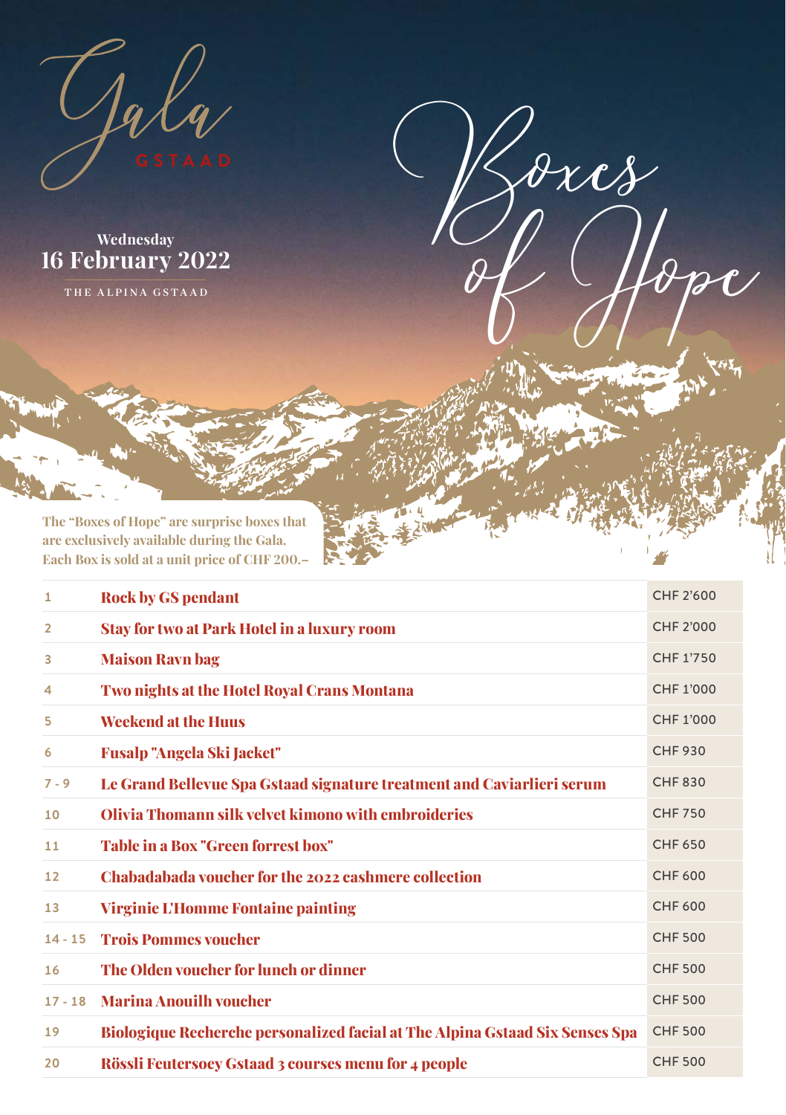

**Wednesday February 2022**

THE ALPINA GSTAAD

**The "Boxes of Hope" are surprise boxes that are exclusively available during the Gala. Each Box is sold at a unit price of CHF 200.–**

| 1         | <b>Rock by GS pendant</b>                                                           | CHF 2'600      |
|-----------|-------------------------------------------------------------------------------------|----------------|
| 2         | <b>Stay for two at Park Hotel in a luxury room</b>                                  | CHF 2'000      |
| 3         | <b>Maison Ravn bag</b>                                                              | CHF 1'750      |
| 4         | Two nights at the Hotel Royal Crans Montana                                         | CHF 1'000      |
| 5         | <b>Weekend at the Huus</b>                                                          | CHF 1'000      |
| 6         | Fusalp "Angela Ski Jacket"                                                          | <b>CHF 930</b> |
| $7 - 9$   | Le Grand Bellevue Spa Gstaad signature treatment and Caviarlieri serum              | <b>CHF830</b>  |
| 10        | Olivia Thomann silk velvet kimono with embroideries                                 | <b>CHF 750</b> |
| 11        | Table in a Box "Green forrest box"                                                  | <b>CHF 650</b> |
| 12        | Chabadabada voucher for the 2022 cashmere collection                                | <b>CHF 600</b> |
| 13        | <b>Virginie L'Homme Fontaine painting</b>                                           | CHF 600        |
| $14 - 15$ | <b>Trois Pommes voucher</b>                                                         | <b>CHF 500</b> |
| 16        | The Olden voucher for lunch or dinner                                               | <b>CHF 500</b> |
| $17 - 18$ | <b>Marina Anouilh voucher</b>                                                       | <b>CHF 500</b> |
| 19        | <b>Biologique Recherche personalized facial at The Alpina Gstaad Six Senses Spa</b> | <b>CHF 500</b> |
| 20        | Rössli Feutersoey Gstaad 3 courses menu for 4 people                                | <b>CHF 500</b> |

 $\partial x c$